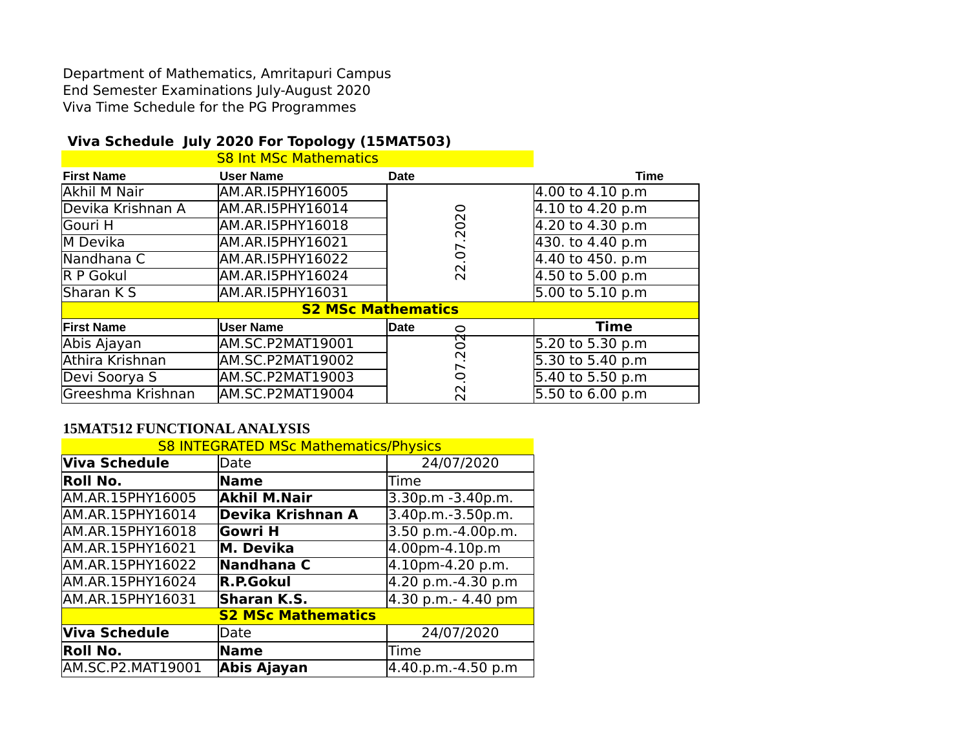Department of Mathematics, Amritapuri Campus End Semester Examinations July-August 2020 Viva Time Schedule for the PG Programmes

## **Viva Schedule July 2020 For Topology (15MAT503)**

|                   | <b>S8 Int MSc Mathematics</b> |                        |                  |
|-------------------|-------------------------------|------------------------|------------------|
| <b>First Name</b> | <b>User Name</b>              | Date                   | <b>Time</b>      |
| Akhil M Nair      | AM.AR.I5PHY16005              |                        | 4.00 to 4.10 p.m |
| Devika Krishnan A | AM.AR.I5PHY16014              |                        | 4.10 to 4.20 p.m |
| lGouri H          | AM.AR.I5PHY16018              | $\overline{O}$         | 4.20 to 4.30 p.m |
| M Devika          | AM.AR.I5PHY16021              | $\sim$                 | 430. to 4.40 p.m |
| Nandhana C        | AM.AR.I5PHY16022              | $\overline{0}$         | 4.40 to 450. p.m |
| R P Gokul         | AM.AR.I5PHY16024              | $\sim$<br>$\sim$       | 4.50 to 5.00 p.m |
| Sharan K S        | AM.AR.I5PHY16031              |                        | 5.00 to 5.10 p.m |
|                   | <b>S2 MSc Mathematics</b>     |                        |                  |
| <b>First Name</b> | <b>User Name</b>              | <b>Date</b><br>$\circ$ | Time             |
| Abis Ajayan       | AM.SC.P2MAT19001              | त्प<br>0               | 5.20 to 5.30 p.m |
| Athira Krishnan   | AM.SC.P2MAT19002              | $\sim$                 | 5.30 to 5.40 p.m |
| Devi Soorya S     | <b>AM.SC.P2MAT19003</b>       | 0                      | 5.40 to 5.50 p.m |
| Greeshma Krishnan | AM.SC.P2MAT19004              | $\sim$<br>$\sim$       | 5.50 to 6.00 p.m |

## **15MAT512 FUNCTIONAL ANALYSIS**

| <b>S8 INTEGRATED MSc Mathematics/Physics</b> |                           |                    |  |  |
|----------------------------------------------|---------------------------|--------------------|--|--|
| <b>Viva Schedule</b>                         | <b>Date</b>               | 24/07/2020         |  |  |
| Roll No.                                     | <b>Name</b>               | <b>Time</b>        |  |  |
| AM.AR.15PHY16005                             | <b>Akhil M.Nair</b>       | 3.30p.m -3.40p.m.  |  |  |
| AM.AR.15PHY16014                             | <b>Devika Krishnan A</b>  | 3.40p.m.-3.50p.m.  |  |  |
| AM.AR.15PHY16018                             | <b>Gowri H</b>            | 3.50 p.m.-4.00p.m. |  |  |
| AM.AR.15PHY16021                             | M. Devika                 | 4.00pm-4.10p.m     |  |  |
| AM.AR.15PHY16022                             | Nandhana C                | 4.10pm-4.20 p.m.   |  |  |
| AM.AR.15PHY16024                             | R.P.Gokul                 | 4.20 p.m.-4.30 p.m |  |  |
| AM.AR.15PHY16031                             | Sharan K.S.               | 4.30 p.m.- 4.40 pm |  |  |
|                                              | <b>S2 MSc Mathematics</b> |                    |  |  |
| <b>Viva Schedule</b>                         | Date                      | 24/07/2020         |  |  |
| Roll No.                                     | Name                      | Time               |  |  |
| AM.SC.P2.MAT19001                            | Abis Ajayan               | 4.40.p.m.-4.50 p.m |  |  |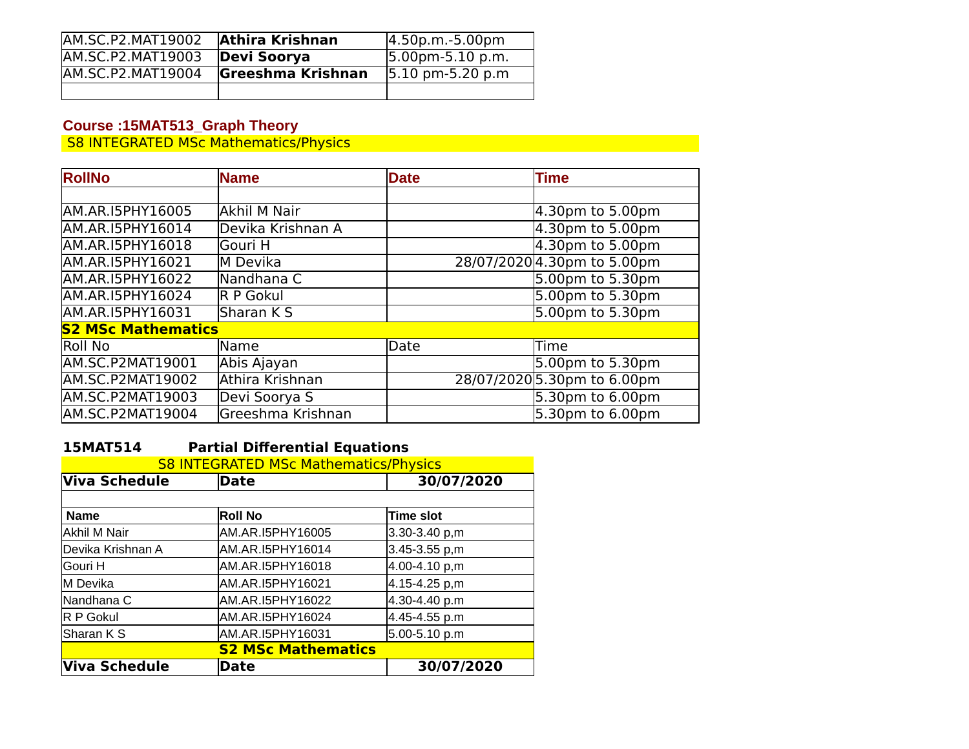| AM.SC.P2.MAT19002 | <b>Athira Krishnan</b>   | $ 4.50p.m.-5.00p m$                  |
|-------------------|--------------------------|--------------------------------------|
| AM.SC.P2.MAT19003 | Devi Soorya              | $ 5.00$ pm-5.10 p.m.                 |
| AM.SC.P2.MAT19004 | <b>Greeshma Krishnan</b> | $ 5.10 \text{ pm}-5.20 \text{ p.m} $ |
|                   |                          |                                      |

#### **Course :15MAT513\_Graph Theory**

S8 INTEGRATED MSc Mathematics/Physics

| <b>RollNo</b>             | <b>Name</b>       | <b>Date</b> | <b>Time</b>                 |
|---------------------------|-------------------|-------------|-----------------------------|
|                           |                   |             |                             |
| AM.AR.I5PHY16005          | Akhil M Nair      |             | $4.30$ pm to 5.00pm         |
| AM.AR.I5PHY16014          | Devika Krishnan A |             | $4.30pm$ to 5.00pm          |
| AM.AR.I5PHY16018          | lGouri H          |             | $4.30pm$ to 5.00pm          |
| AM.AR.I5PHY16021          | M Devika          |             | 28/07/2020 4.30pm to 5.00pm |
| AM.AR.I5PHY16022          | Nandhana C        |             | $5.00pm$ to 5.30pm          |
| AM.AR.I5PHY16024          | R P Gokul         |             | $5.00pm$ to 5.30pm          |
| AM.AR.I5PHY16031          | lSharan K S       |             | 5.00pm to 5.30pm            |
| <b>S2 MSc Mathematics</b> |                   |             |                             |
| lRoll No                  | <b>Name</b>       | Date        | lTime                       |
| <b>AM.SC.P2MAT19001</b>   | Abis Ajayan       |             | 5.00pm to 5.30pm            |
| AM.SC.P2MAT19002          | Athira Krishnan   |             | 28/07/2020 5.30pm to 6.00pm |
| AM.SC.P2MAT19003          | Devi Soorya S     |             | $5.30pm$ to 6.00pm          |
| AM.SC.P2MAT19004          | Greeshma Krishnan |             | 5.30pm to 6.00pm            |

## **15MAT514 Partial Differential Equations**

| <b>S8 INTEGRATED MSc Mathematics/Physics</b> |                  |                   |  |
|----------------------------------------------|------------------|-------------------|--|
| Viva Schedule                                | <b>Date</b>      | 30/07/2020        |  |
|                                              |                  |                   |  |
| <b>Name</b>                                  | <b>Roll No</b>   | <b>Time slot</b>  |  |
| Akhil M Nair                                 | AM.AR.I5PHY16005 | 3.30-3.40 p,m     |  |
| Devika Krishnan A                            | AM.AR.I5PHY16014 | $3.45 - 3.55 p,m$ |  |
| lGouri H                                     | AM.AR.I5PHY16018 | 4.00-4.10 p,m     |  |
| M Devika                                     | AM.AR.I5PHY16021 | 4.15-4.25 p,m     |  |
| Nandhana C                                   | AM.AR.I5PHY16022 | 4.30-4.40 p.m     |  |
| R P Gokul                                    | AM.AR.I5PHY16024 | 4.45-4.55 p.m     |  |
| Sharan K S                                   | AM.AR.I5PHY16031 | 5.00-5.10 p.m     |  |
| <b>S2 MSc Mathematics</b>                    |                  |                   |  |
| Viva Schedule                                | Date             | 30/07/2020        |  |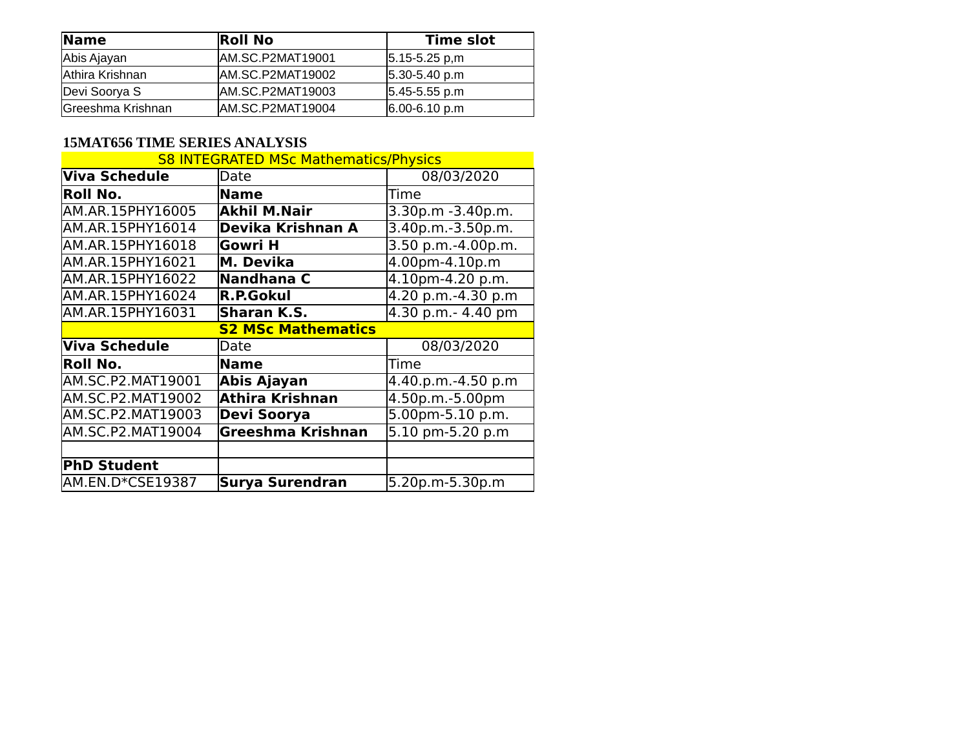| $\blacksquare$    | <b>Roll No</b>    | Time slot           |
|-------------------|-------------------|---------------------|
| Abis Ajayan       | IAM.SC.P2MAT19001 | $ 5.15 - 5.25 p,m $ |
| Athira Krishnan   | AM.SC.P2MAT19002  | $ 5.30 - 5.40 p.m$  |
| Devi Soorya S     | IAM.SC.P2MAT19003 | $ 5.45 - 5.55 p.m$  |
| Greeshma Krishnan | IAM.SC.P2MAT19004 | $ 6.00 - 6.10 p.m$  |

## **15MAT656 TIME SERIES ANALYSIS**

| <b>S8 INTEGRATED MSc Mathematics/Physics</b> |                           |                    |  |
|----------------------------------------------|---------------------------|--------------------|--|
| <b>Viva Schedule</b>                         | Date                      | 08/03/2020         |  |
| Roll No.                                     | <b>Name</b>               | Time               |  |
| AM.AR.15PHY16005                             | <b>Akhil M.Nair</b>       | 3.30p.m -3.40p.m.  |  |
| AM.AR.15PHY16014                             | Devika Krishnan A         | 3.40p.m.-3.50p.m.  |  |
| AM.AR.15PHY16018                             | <b>Gowri H</b>            | 3.50 p.m.-4.00p.m. |  |
| AM.AR.15PHY16021                             | M. Devika                 | 4.00pm-4.10p.m     |  |
| AM.AR.15PHY16022                             | Nandhana C                | 4.10pm-4.20 p.m.   |  |
| AM.AR.15PHY16024                             | <b>R.P.Gokul</b>          | 4.20 p.m.-4.30 p.m |  |
| AM.AR.15PHY16031                             | <b>Sharan K.S.</b>        | 4.30 p.m.- 4.40 pm |  |
|                                              | <b>S2 MSc Mathematics</b> |                    |  |
| <b>Viva Schedule</b>                         | Date                      | 08/03/2020         |  |
| Roll No.                                     | <b>Name</b>               | Time               |  |
| AM.SC.P2.MAT19001                            | Abis Ajayan               | 4.40.p.m.-4.50 p.m |  |
| AM.SC.P2.MAT19002                            | Athira Krishnan           | 4.50p.m.-5.00pm    |  |
| AM.SC.P2.MAT19003                            | Devi Soorya               | 5.00pm-5.10 p.m.   |  |
| AM.SC.P2.MAT19004                            | Greeshma Krishnan         | 5.10 pm-5.20 p.m   |  |
|                                              |                           |                    |  |
| <b>PhD Student</b>                           |                           |                    |  |
| AM.EN.D*CSE19387                             | Surya Surendran           | 5.20p.m-5.30p.m    |  |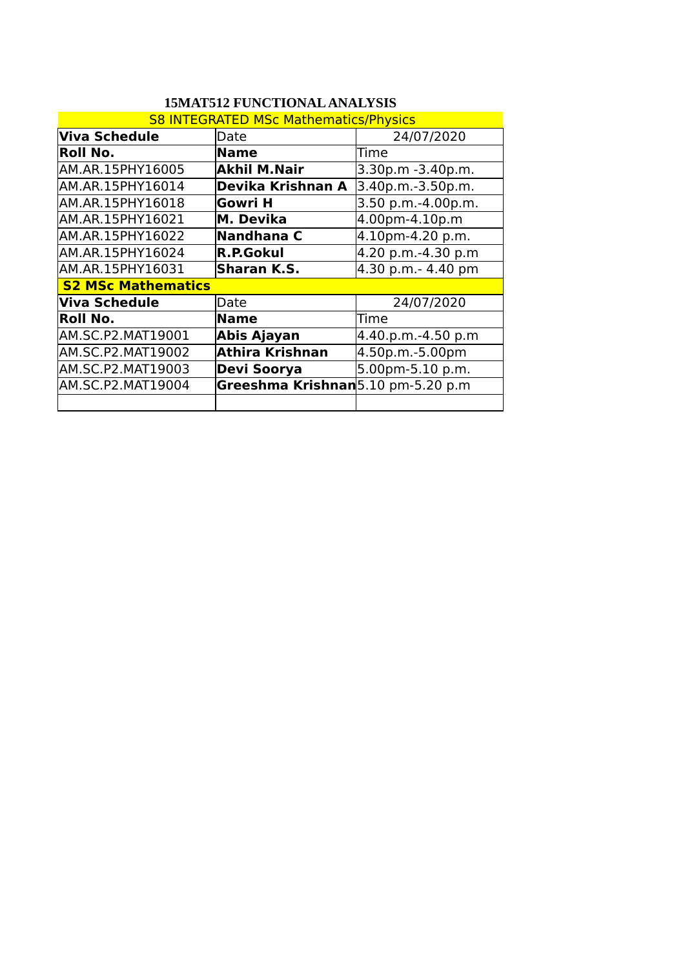| <b>S8 INTEGRATED MSc Mathematics/Physics</b> |                                    |                    |  |  |
|----------------------------------------------|------------------------------------|--------------------|--|--|
| Viva Schedule                                | Date                               | 24/07/2020         |  |  |
| Roll No.                                     | <b>Name</b>                        | Time               |  |  |
| AM.AR.15PHY16005                             | <b>Akhil M.Nair</b>                | 3.30p.m -3.40p.m.  |  |  |
| AM.AR.15PHY16014                             | Devika Krishnan A                  | 3.40p.m.-3.50p.m.  |  |  |
| AM.AR.15PHY16018                             | Gowri H                            | 3.50 p.m.-4.00p.m. |  |  |
| AM.AR.15PHY16021                             | M. Devika                          | 4.00pm-4.10p.m     |  |  |
| AM.AR.15PHY16022                             | Nandhana C                         | 4.10pm-4.20 p.m.   |  |  |
| AM.AR.15PHY16024                             | <b>R.P.Gokul</b>                   | 4.20 p.m.-4.30 p.m |  |  |
| AM.AR.15PHY16031                             | <b>Sharan K.S.</b>                 | 4.30 p.m.- 4.40 pm |  |  |
| <b>S2 MSc Mathematics</b>                    |                                    |                    |  |  |
| Viva Schedule                                | Date                               | 24/07/2020         |  |  |
| Roll No.                                     | <b>Name</b>                        | Time               |  |  |
| AM.SC.P2.MAT19001                            | Abis Ajayan                        | 4.40.p.m.-4.50 p.m |  |  |
| AM.SC.P2.MAT19002                            | <b>Athira Krishnan</b>             | 4.50p.m.-5.00pm    |  |  |
| AM.SC.P2.MAT19003                            | Devi Soorya                        | 5.00pm-5.10 p.m.   |  |  |
| AM.SC.P2.MAT19004                            | Greeshma Krishnan 5.10 pm-5.20 p.m |                    |  |  |
|                                              |                                    |                    |  |  |

# **15MAT512 FUNCTIONAL ANALYSIS**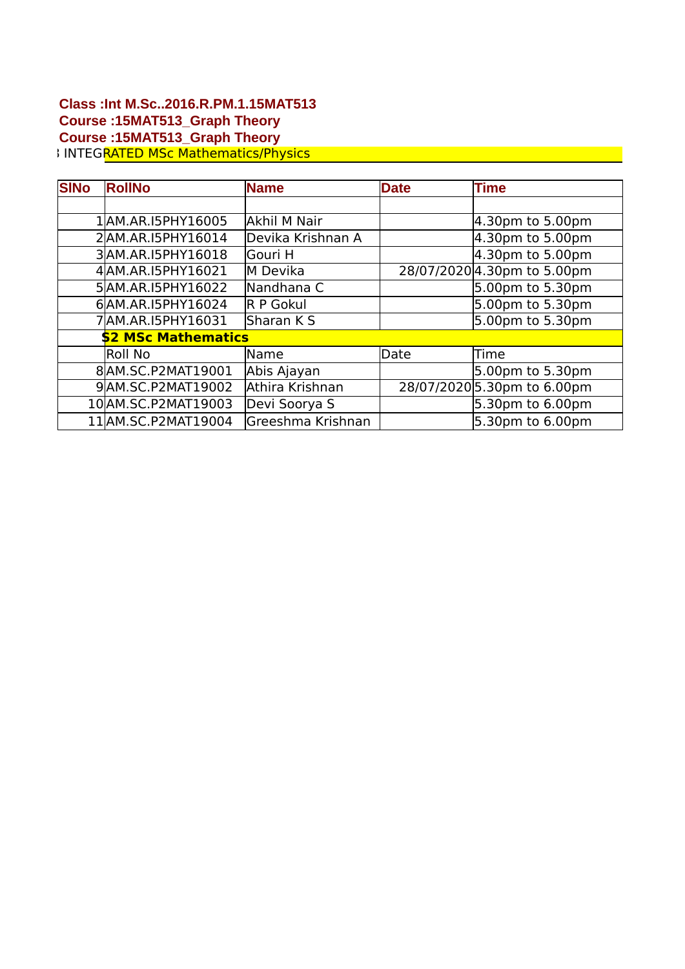## **Class :Int M.Sc..2016.R.PM.1.15MAT513 Course :15MAT513\_Graph Theory Course :15MAT513\_Graph Theory** S8 INTEGRATED MSc Mathematics/Physics

| <b>SINo</b> | <b>RollNo</b>              | <b>Name</b>       | <b>Date</b> | <b>Time</b>                 |
|-------------|----------------------------|-------------------|-------------|-----------------------------|
|             |                            |                   |             |                             |
|             | 1AM.AR.I5PHY16005          | Akhil M Nair      |             | 4.30pm to 5.00pm            |
|             | 2AM.AR.I5PHY16014          | Devika Krishnan A |             | $4.30pm$ to 5.00pm          |
|             | 3AM.AR.I5PHY16018          | lGouri H          |             | $4.30pm$ to 5.00pm          |
|             | 4 AM.AR. I5 PHY 16021      | lM Devika         |             | 28/07/2020 4.30pm to 5.00pm |
|             | 5AM.AR.I5PHY16022          | Nandhana C        |             | 5.00pm to 5.30pm            |
|             | 6AM.AR.I5PHY16024          | <b>R P Gokul</b>  |             | 5.00pm to 5.30pm            |
|             | 7 AM.AR.I5 PHY 16031       | Sharan K S        |             | 5.00pm to 5.30pm            |
|             | <b>\$2 MSc Mathematics</b> |                   |             |                             |
|             | <b>Roll No</b>             | <b>Name</b>       | <b>Date</b> | lTime                       |
|             | 8AM.SC.P2MAT19001          | Abis Ajayan       |             | 5.00pm to 5.30pm            |
|             | 9AM.SC.P2MAT19002          | Athira Krishnan   |             | 28/07/2020 5.30pm to 6.00pm |
|             | 10 AM.SC.P2MAT19003        | Devi Soorya S     |             | 5.30pm to 6.00pm            |
|             | 11 AM.SC.P2MAT19004        | Greeshma Krishnan |             | 5.30pm to 6.00pm            |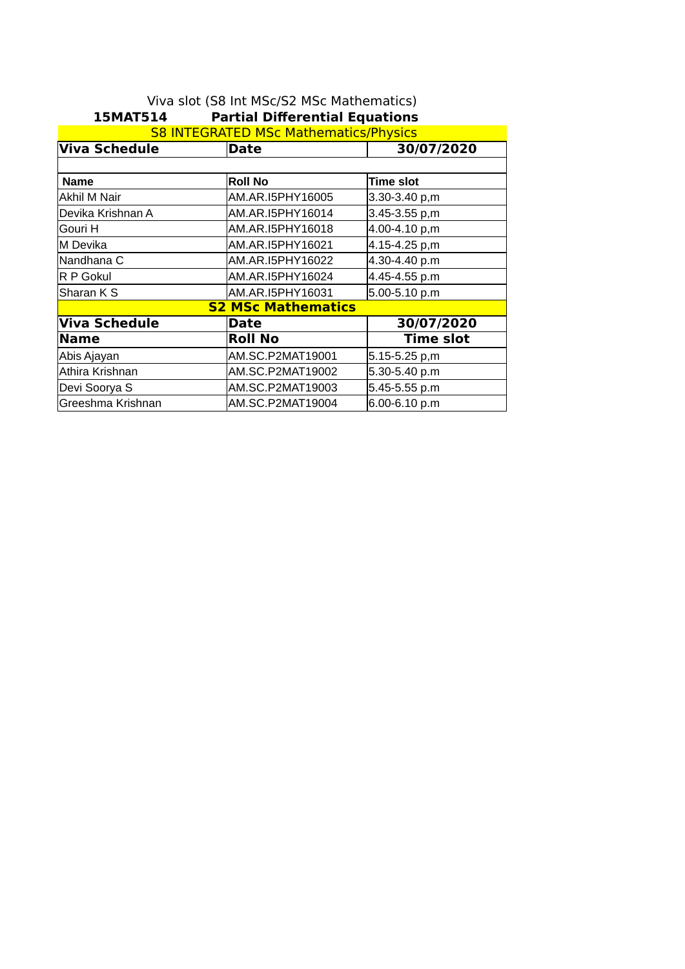| LSMAI514<br>Partial Differential Equations   |                           |                   |  |  |
|----------------------------------------------|---------------------------|-------------------|--|--|
| <b>S8 INTEGRATED MSc Mathematics/Physics</b> |                           |                   |  |  |
| Viva Schedule                                | <b>Date</b>               | 30/07/2020        |  |  |
|                                              |                           |                   |  |  |
| <b>Name</b>                                  | <b>Roll No</b>            | <b>Time slot</b>  |  |  |
| Akhil M Nair                                 | AM.AR.I5PHY16005          | 3.30-3.40 p,m     |  |  |
| Devika Krishnan A                            | AM.AR.I5PHY16014          | 3.45-3.55 p,m     |  |  |
| Gouri H                                      | AM.AR.I5PHY16018          | 4.00-4.10 p,m     |  |  |
| lM Devika                                    | AM.AR.I5PHY16021          | 4.15-4.25 p,m     |  |  |
| Nandhana C                                   | AM.AR.I5PHY16022          | 4.30-4.40 p.m     |  |  |
| IR P Gokul                                   | AM.AR.I5PHY16024          | 4.45-4.55 p.m     |  |  |
| Sharan K S                                   | AM.AR.I5PHY16031          | 5.00-5.10 p.m     |  |  |
|                                              | <b>S2 MSc Mathematics</b> |                   |  |  |
| Viva Schedule                                | <b>Date</b>               | 30/07/2020        |  |  |
| Name                                         | <b>Roll No</b>            | <b>Time slot</b>  |  |  |
| Abis Ajayan                                  | AM.SC.P2MAT19001          | $5.15 - 5.25$ p,m |  |  |
| Athira Krishnan                              | AM.SC.P2MAT19002          | 5.30-5.40 p.m     |  |  |
| Devi Soorya S                                | AM.SC.P2MAT19003          | 5.45-5.55 p.m     |  |  |
| Greeshma Krishnan                            | AM.SC.P2MAT19004          | 6.00-6.10 p.m     |  |  |

#### Viva slot (S8 Int MSc/S2 MSc Mathematics) **15MAT514 Partial Differential Equations**